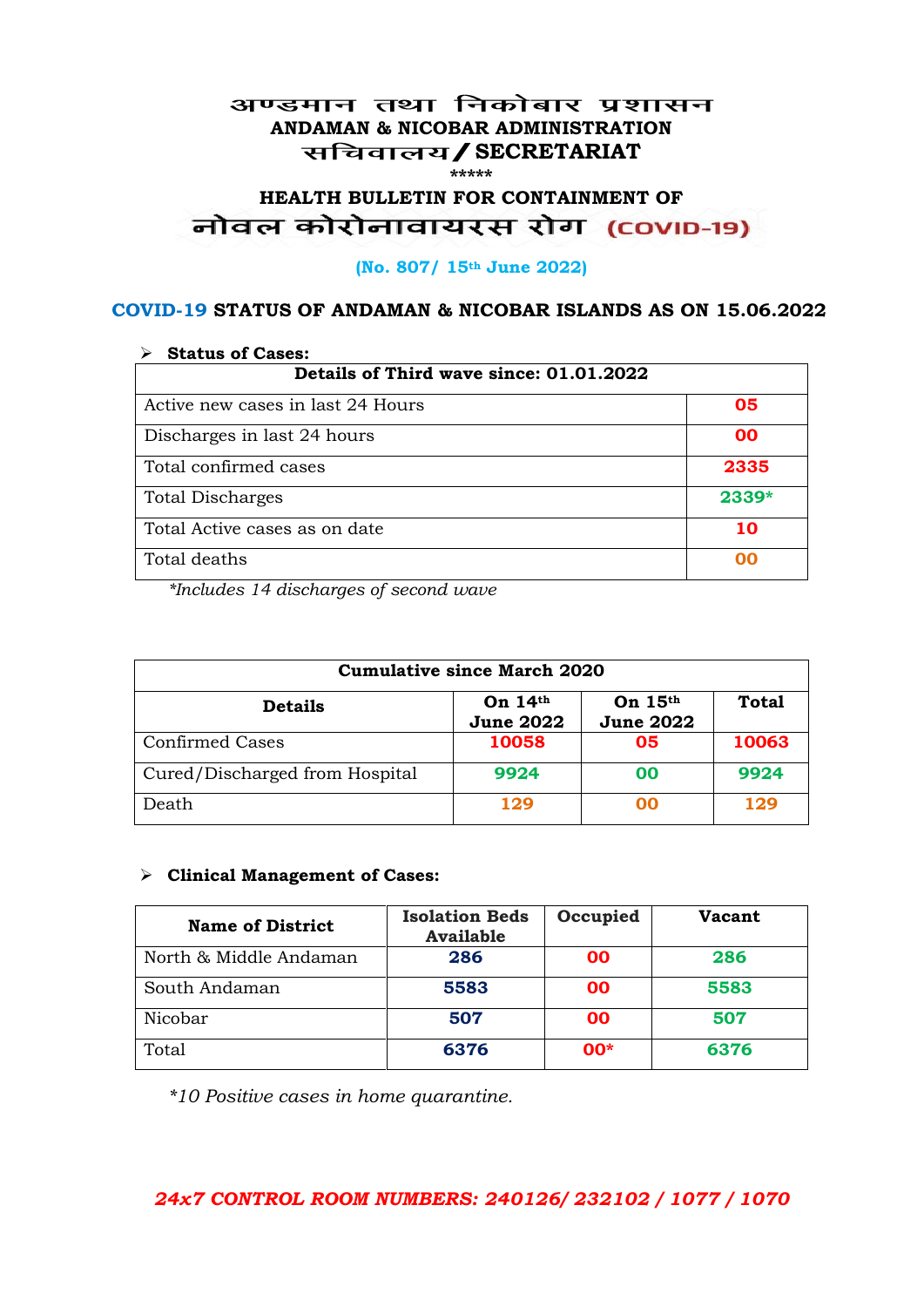#### अण्डमान तथा निकोबार प्रशासन **ANDAMAN & NICOBAR ADMINISTRATION /SECRETARIAT \*\*\*\*\***

# HEALTH BULLETIN FOR CONTAINMENT OF<br>बोवल कोरोनावायरस रोग (COVID-19)

#### **(No. 807/ 15th June 2022)**

#### **COVID-19 STATUS OF ANDAMAN & NICOBAR ISLANDS AS ON 15.06.2022**

| <b>Status of Cases:</b>                 |       |  |
|-----------------------------------------|-------|--|
| Details of Third wave since: 01.01.2022 |       |  |
| Active new cases in last 24 Hours       | 05    |  |
| Discharges in last 24 hours             | 00    |  |
| Total confirmed cases                   | 2335  |  |
| <b>Total Discharges</b>                 | 2339* |  |
| Total Active cases as on date           | 10    |  |
| Total deaths                            | OO    |  |

*\*Includes 14 discharges of second wave*

| <b>Cumulative since March 2020</b> |                               |                               |              |
|------------------------------------|-------------------------------|-------------------------------|--------------|
| <b>Details</b>                     | On $14th$<br><b>June 2022</b> | On $15th$<br><b>June 2022</b> | <b>Total</b> |
| <b>Confirmed Cases</b>             | 10058                         | 05                            | 10063        |
| Cured/Discharged from Hospital     | 9924                          | 00                            | 9924         |
| Death                              | 129                           | ററ                            | 129          |

#### **Clinical Management of Cases:**

| <b>Name of District</b> | <b>Isolation Beds</b><br><b>Available</b> | Occupied  | Vacant |
|-------------------------|-------------------------------------------|-----------|--------|
| North & Middle Andaman  | 286                                       | <b>OO</b> | 286    |
| South Andaman           | 5583                                      | <b>OO</b> | 5583   |
| Nicobar                 | 507                                       | <b>OO</b> | 507    |
| Total                   | 6376                                      | $00*$     | 6376   |

*\*10 Positive cases in home quarantine.*

#### *24x7 CONTROL ROOM NUMBERS: 240126/ 232102 / 1077 / 1070*